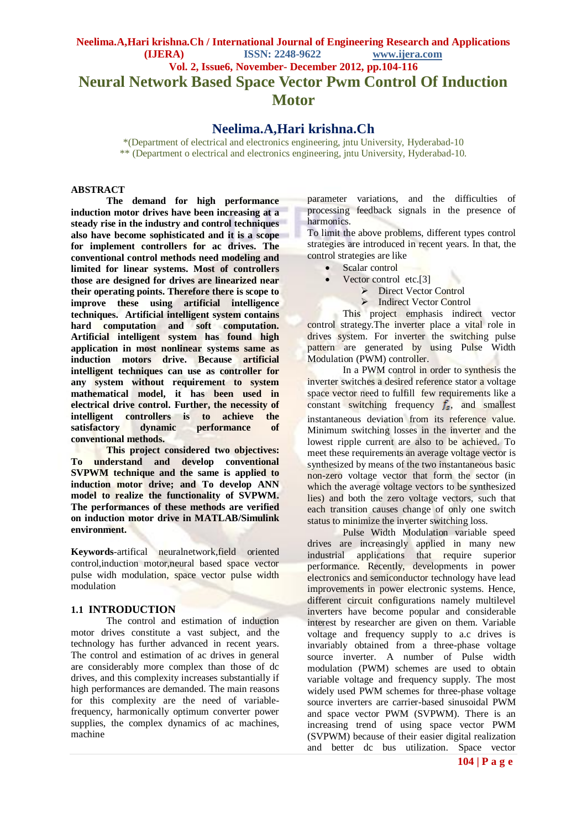# **Neelima.A,Hari krishna.Ch / International Journal of Engineering Research and Applications (IJERA) ISSN: 2248-9622 www.ijera.com Vol. 2, Issue6, November- December 2012, pp.104-116 Neural Network Based Space Vector Pwm Control Of Induction Motor**

## **Neelima.A,Hari krishna.Ch**

\*(Department of electrical and electronics engineering, jntu University, Hyderabad-10 \*\* (Department o electrical and electronics engineering, jntu University, Hyderabad-10.

#### **ABSTRACT**

**The demand for high performance induction motor drives have been increasing at a steady rise in the industry and control techniques also have become sophisticated and it is a scope for implement controllers for ac drives. The conventional control methods need modeling and limited for linear systems. Most of controllers those are designed for drives are linearized near their operating points. Therefore there is scope to improve these using artificial intelligence techniques. Artificial intelligent system contains hard computation and soft computation. Artificial intelligent system has found high application in most nonlinear systems same as induction motors drive. Because artificial intelligent techniques can use as controller for any system without requirement to system mathematical model, it has been used in electrical drive control. Further, the necessity of intelligent controllers is to achieve the satisfactory dynamic performance of conventional methods.**

**This project considered two objectives: To understand and develop conventional SVPWM technique and the same is applied to induction motor drive; and To develop ANN model to realize the functionality of SVPWM. The performances of these methods are verified on induction motor drive in MATLAB/Simulink environment.**

**Keywords**-artifical neuralnetwork,field oriented control,induction motor,neural based space vector pulse widh modulation, space vector pulse width modulation

#### **1.1 INTRODUCTION**

The control and estimation of induction motor drives constitute a vast subject, and the technology has further advanced in recent years. The control and estimation of ac drives in general are considerably more complex than those of dc drives, and this complexity increases substantially if high performances are demanded. The main reasons for this complexity are the need of variablefrequency, harmonically optimum converter power supplies, the complex dynamics of ac machines, machine

parameter variations, and the difficulties of processing feedback signals in the presence of harmonics.

To limit the above problems, different types control strategies are introduced in recent years. In that, the control strategies are like

- Scalar control
	- Vector control etc.[3]
		- **EXECUTE:** Direct Vector Control
			- > Indirect Vector Control

This project emphasis indirect vector control strategy.The inverter place a vital role in drives system. For inverter the switching pulse pattern are generated by using Pulse Width Modulation (PWM) controller.

In a PWM control in order to synthesis the inverter switches a desired reference stator a voltage space vector need to fulfill few requirements like a constant switching frequency  $f_s$ , and smallest instantaneous deviation from its reference value. Minimum switching losses in the inverter and the lowest ripple current are also to be achieved. To meet these requirements an average voltage vector is synthesized by means of the two instantaneous basic non-zero voltage vector that form the sector (in which the average voltage vectors to be synthesized lies) and both the zero voltage vectors, such that each transition causes change of only one switch status to minimize the inverter switching loss.

Pulse Width Modulation variable speed drives are increasingly applied in many new industrial applications that require superior performance. Recently, developments in power electronics and semiconductor technology have lead improvements in power electronic systems. Hence, different circuit configurations namely multilevel inverters have become popular and considerable interest by researcher are given on them. Variable voltage and frequency supply to a.c drives is invariably obtained from a three-phase voltage source inverter. A number of Pulse width modulation (PWM) schemes are used to obtain variable voltage and frequency supply. The most widely used PWM schemes for three-phase voltage source inverters are carrier-based sinusoidal PWM and space vector PWM (SVPWM). There is an increasing trend of using space vector PWM (SVPWM) because of their easier digital realization and better dc bus utilization. Space vector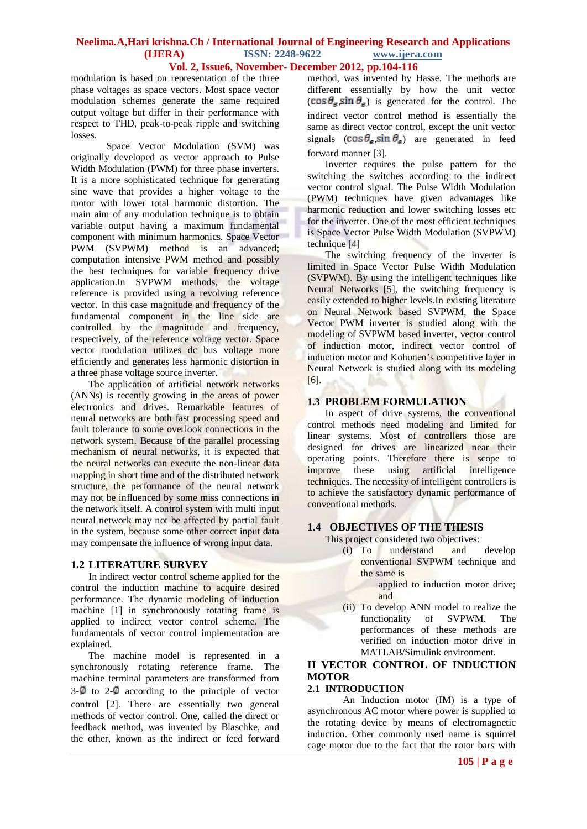### **Vol. 2, Issue6, November- December 2012, pp.104-116**

modulation is based on representation of the three phase voltages as space vectors. Most space vector modulation schemes generate the same required output voltage but differ in their performance with respect to THD, peak-to-peak ripple and switching losses.

Space Vector Modulation (SVM) was originally developed as vector approach to Pulse Width Modulation (PWM) for three phase inverters. It is a more sophisticated technique for generating sine wave that provides a higher voltage to the motor with lower total harmonic distortion. The main aim of any modulation technique is to obtain variable output having a maximum fundamental component with minimum harmonics. Space Vector PWM (SVPWM) method is an advanced; computation intensive PWM method and possibly the best techniques for variable frequency drive application.In SVPWM methods, the voltage reference is provided using a revolving reference vector. In this case magnitude and frequency of the fundamental component in the line side are controlled by the magnitude and frequency, respectively, of the reference voltage vector. Space vector modulation utilizes dc bus voltage more efficiently and generates less harmonic distortion in a three phase voltage source inverter.

The application of artificial network networks (ANNs) is recently growing in the areas of power electronics and drives. Remarkable features of neural networks are both fast processing speed and fault tolerance to some overlook connections in the network system. Because of the parallel processing mechanism of neural networks, it is expected that the neural networks can execute the non-linear data mapping in short time and of the distributed network structure, the performance of the neural network may not be influenced by some miss connections in the network itself. A control system with multi input neural network may not be affected by partial fault in the system, because some other correct input data may compensate the influence of wrong input data.

## **1.2 LITERATURE SURVEY**

In indirect vector control scheme applied for the control the induction machine to acquire desired performance. The dynamic modeling of induction machine [1] in synchronously rotating frame is applied to indirect vector control scheme. The fundamentals of vector control implementation are explained.

The machine model is represented in a synchronously rotating reference frame. The machine terminal parameters are transformed from  $3-\phi$  to  $2-\phi$  according to the principle of vector control [2]. There are essentially two general methods of vector control. One, called the direct or feedback method, was invented by Blaschke, and the other, known as the indirect or feed forward

method, was invented by Hasse. The methods are different essentially by how the unit vector  $(\cos \theta_{\rm g} \sin \theta_{\rm g})$  is generated for the control. The indirect vector control method is essentially the same as direct vector control, except the unit vector signals  $(\cos \theta_{\epsilon}, \sin \theta_{\epsilon})$  are generated in feed forward manner [3].

Inverter requires the pulse pattern for the switching the switches according to the indirect vector control signal. The Pulse Width Modulation (PWM) techniques have given advantages like harmonic reduction and lower switching losses etc for the inverter. One of the most efficient techniques is Space Vector Pulse Width Modulation (SVPWM) technique [4]

The switching frequency of the inverter is limited in Space Vector Pulse Width Modulation (SVPWM). By using the intelligent techniques like Neural Networks [5], the switching frequency is easily extended to higher levels.In existing literature on Neural Network based SVPWM, the Space Vector PWM inverter is studied along with the modeling of SVPWM based inverter, vector control of induction motor, indirect vector control of induction motor and Kohonen's competitive layer in Neural Network is studied along with its modeling [6].

#### **1.3 PROBLEM FORMULATION**

In aspect of drive systems, the conventional control methods need modeling and limited for linear systems. Most of controllers those are designed for drives are linearized near their operating points. Therefore there is scope to improve these using artificial intelligence techniques. The necessity of intelligent controllers is to achieve the satisfactory dynamic performance of conventional methods.

## **1.4 OBJECTIVES OF THE THESIS**

This project considered two objectives:

- (i) To understand and develop conventional SVPWM technique and the same is
	- applied to induction motor drive; and
- (ii) To develop ANN model to realize the functionality of SVPWM. The performances of these methods are verified on induction motor drive in MATLAB/Simulink environment.

## **II VECTOR CONTROL OF INDUCTION MOTOR**

### **2.1 INTRODUCTION**

An Induction motor (IM) is a type of asynchronous AC motor where power is supplied to the rotating device by means of electromagnetic induction. Other commonly used name is squirrel cage motor due to the fact that the rotor bars with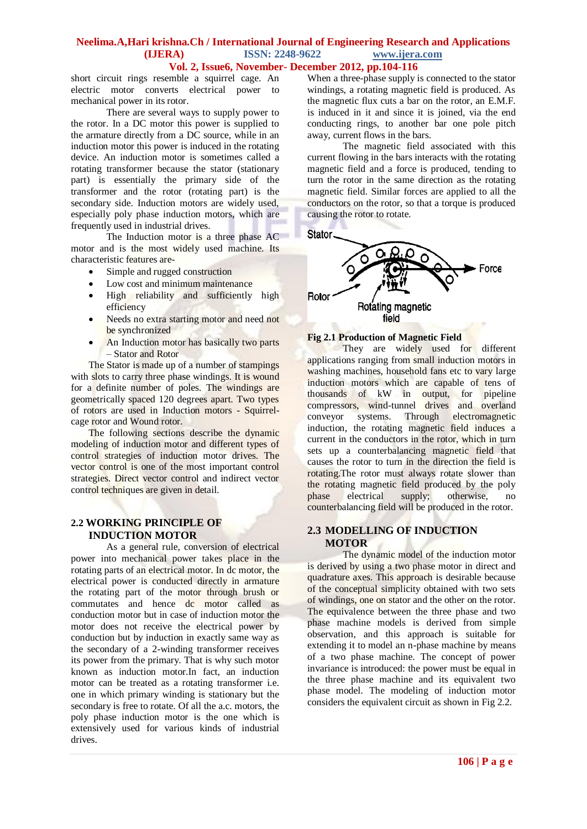#### **Vol. 2, Issue6, November- December 2012, pp.104-116**

short circuit rings resemble a squirrel cage. An electric motor converts electrical power to mechanical power in its rotor.

There are several ways to supply power to the rotor. In a DC motor this power is supplied to the armature directly from a DC source, while in an induction motor this power is induced in the rotating device. An induction motor is sometimes called a rotating transformer because the stator (stationary part) is essentially the primary side of the transformer and the rotor (rotating part) is the secondary side. Induction motors are widely used, especially poly phase induction motors, which are frequently used in industrial drives.

The Induction motor is a three phase AC motor and is the most widely used machine. Its characteristic features are-

- Simple and rugged construction
- Low cost and minimum maintenance
- High reliability and sufficiently high efficiency
- Needs no extra starting motor and need not be synchronized
- An Induction motor has basically two parts – Stator and Rotor

The Stator is made up of a number of stampings with slots to carry three phase windings. It is wound for a definite number of poles. The windings are geometrically spaced 120 degrees apart. Two types of rotors are used in Induction motors - Squirrelcage rotor and Wound rotor.

The following sections describe the dynamic modeling of induction motor and different types of control strategies of induction motor drives. The vector control is one of the most important control strategies. Direct vector control and indirect vector control techniques are given in detail.

### **2.2 WORKING PRINCIPLE OF INDUCTION MOTOR**

As a general rule, conversion of electrical power into mechanical power takes place in the rotating parts of an electrical motor. In dc motor, the electrical power is conducted directly in armature the rotating part of the motor through brush or commutates and hence dc motor called as conduction motor but in case of induction motor the motor does not receive the electrical power by conduction but by induction in exactly same way as the secondary of a 2-winding transformer receives its power from the primary. That is why such motor known as induction motor.In fact, an induction motor can be treated as a rotating transformer i.e. one in which primary winding is stationary but the secondary is free to rotate. Of all the a.c. motors, the poly phase induction motor is the one which is extensively used for various kinds of industrial drives.

When a three-phase supply is connected to the stator windings, a rotating magnetic field is produced. As the magnetic flux cuts a bar on the rotor, an E.M.F. is induced in it and since it is joined, via the end conducting rings, to another bar one pole pitch away, current flows in the bars.

The magnetic field associated with this current flowing in the bars interacts with the rotating magnetic field and a force is produced, tending to turn the rotor in the same direction as the rotating magnetic field. Similar forces are applied to all the conductors on the rotor, so that a torque is produced causing the rotor to rotate.



## **Fig 2.1 Production of Magnetic Field**

They are widely used for different applications ranging from small induction motors in washing machines, household fans etc to vary large induction motors which are capable of tens of thousands of kW in output, for pipeline compressors, wind-tunnel drives and overland<br>conveyor systems. Through electromagnetic  $conveyor$  systems. Through induction, the rotating magnetic field induces a current in the conductors in the rotor, which in turn sets up a counterbalancing magnetic field that causes the rotor to turn in the direction the field is rotating.The rotor must always rotate slower than the rotating magnetic field produced by the poly phase electrical supply; otherwise, no counterbalancing field will be produced in the rotor.

## **2.3 MODELLING OF INDUCTION MOTOR**

The dynamic model of the induction motor is derived by using a two phase motor in direct and quadrature axes. This approach is desirable because of the conceptual simplicity obtained with two sets of windings, one on stator and the other on the rotor. The equivalence between the three phase and two phase machine models is derived from simple observation, and this approach is suitable for extending it to model an n-phase machine by means of a two phase machine. The concept of power invariance is introduced: the power must be equal in the three phase machine and its equivalent two phase model. The modeling of induction motor considers the equivalent circuit as shown in Fig 2.2.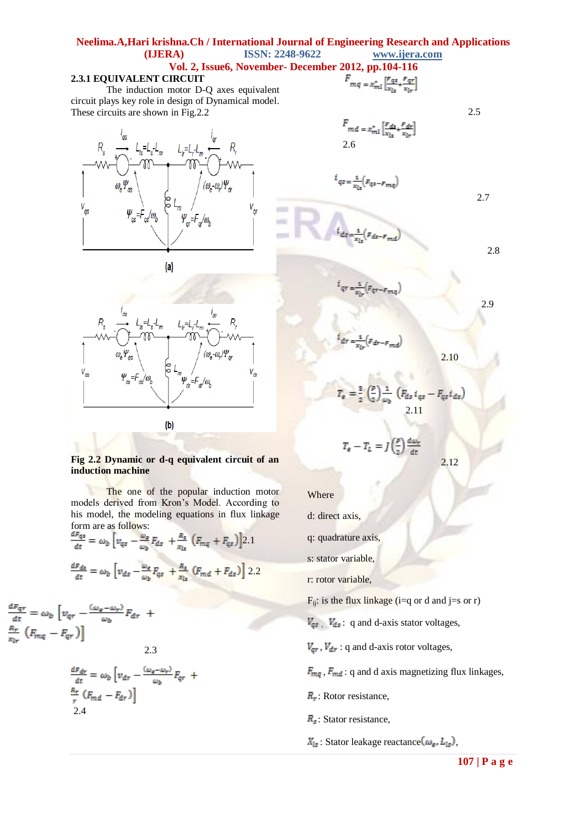## **Neelima.A,Hari krishna.Ch / International Journal of Engineering Research and Applications (IJERA) ISSN: 2248-9622 www.ijera.com Vol. 2, Issue6, November- December**

**COLOR** 

## **2.3.1 EQUIVALENT CIRCUIT**

The induction motor D-Q axes equivalent circuit plays key role in design of Dynamical model. These circuits are shown in Fig.2.2







#### **Fig 2.2 Dynamic or d-q equivalent circuit of an induction machine**

The one of the popular induction motor models derived from Kron's Model. According to his model, the modeling equations in flux linkage form are as follows:

$$
\frac{dF_{qs}}{dt} = \omega_b \left[ v_{qs} - \frac{\omega_g}{\omega_b} F_{ds} + \frac{R_s}{x_{ls}} \left( F_{mq} + F_{qs} \right) \right] 2.1
$$

$$
\frac{dF_{ds}}{dt} = \omega_b \left[ v_{ds} - \frac{\omega_g}{\omega_b} F_{qs} + \frac{R_s}{x_{ls}} \left( F_{md} + F_{ds} \right) \right] 2.2
$$

 $\begin{array}{l} \frac{d F_{qr}}{dt} = \omega_b \left[ \nu_{qr} - \frac{(\omega_e - \omega_r)}{\omega_b} F_{dr} \right. \ + \nonumber \\ \left. \frac{R_r}{x_{lr}} \left(F_{mq} - F_{qr} \right) \right] \end{array}$ 2.3

$$
\frac{dF_{dr}}{dt} = \omega_b \left[ v_{dr} - \frac{(\omega_e - \omega_r)}{\omega_b} F_{qr} + \frac{R_r}{r} \left( F_{md} - F_{dr} \right) \right]
$$
  
2.4

2012, pp.104-116  

$$
F_{mq = x_{ml}^{*} \left[\frac{F_{qs}}{x_{1}} + \frac{F_{qr}}{x_{1}}\right]}
$$

$$
mq = x_{ml} \left[ \frac{x_{ls}}{x_{ls}} + \frac{y_{lr}}{x_{lr}} \right]
$$

2.5

$$
F_{md} = x_{ml}^* \left[ \frac{F_{ds}}{x_{ls}} + \frac{F_{dr}}{x_{lr}} \right]
$$
  
2.6

2.7

2.9

2.10

2.12

$$
i_{qs} = \frac{1}{x_{ls}} \left( F_{qs} - F_{mq} \right)
$$

$$
i_{ds} = \frac{1}{x_{ls}} (F_{ds} - F_{md})
$$

 $\frac{1}{2}$ 

$$
i_{qr} = \frac{1}{x_{lr}} (F_{qr} - F_{mq})
$$

$$
i_{dr} = \frac{1}{x_{lr}} (F_{dr} - F_{md})
$$

$$
T_{\varepsilon} = \frac{3}{2} \left( \frac{p}{2} \right) \frac{1}{\omega_b} \left( F_{ds} i_{qs} - F_{qs} i_{ds} \right)
$$
  
2.11

$$
T_e - T_L = J\left(\frac{p}{2}\right)\frac{d\omega_r}{dt}
$$

Where

d: direct axis,

q: quadrature axis,

s: stator variable,

r: rotor variable,

 $F_{ij}$ : is the flux linkage (i=q or d and j=s or r)

 $V_{qs}$ ,  $V_{ds}$ : q and d-axis stator voltages,

 $V_{qr}$ ,  $V_{dr}$ : q and d-axis rotor voltages,

 $F_{mq}$ ,  $F_{md}$ : q and d axis magnetizing flux linkages,

 $R_r$ : Rotor resistance,

- $R<sub>s</sub>$ : Stator resistance,
- $X_{ls}$ : Stator leakage reactance  $(\omega_e, L_{ls})$ ,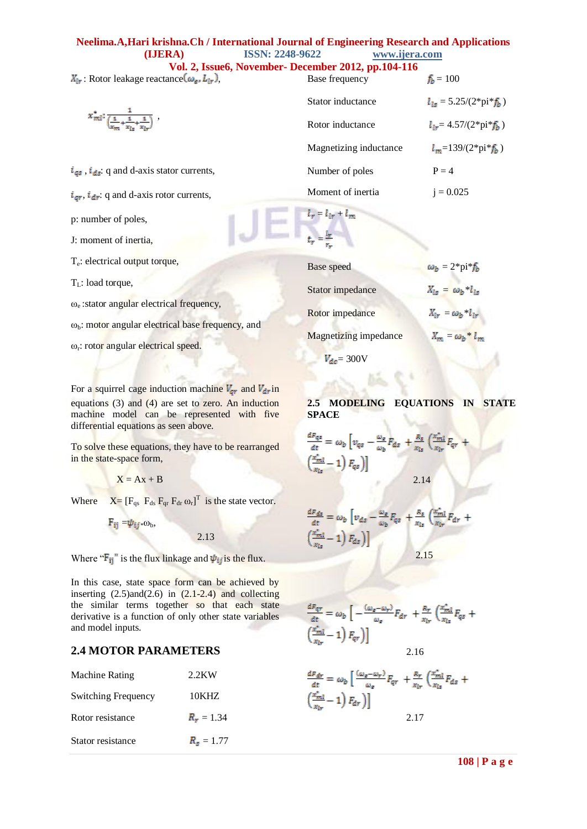| Vol. 2, Issue6, November- December 2012, pp.104-116                                                 |                        |                                           |  |  |
|-----------------------------------------------------------------------------------------------------|------------------------|-------------------------------------------|--|--|
| $X_{ir}$ : Rotor leakage reactance $(\omega_{si} L_{ir})$ ,                                         | Base frequency         | $f_{b} = 100$                             |  |  |
|                                                                                                     | Stator inductance      | $l_{1s} = 5.25/(2*pi*_{b}f_{b})$          |  |  |
| $x_{ml}^{\bullet}$ : $\frac{1}{\left(\frac{1}{x_{1}} + \frac{1}{x_{1}} + \frac{1}{x_{1}}\right)}$ , | Rotor inductance       | $l_{1r} = 4.57/(2 \cdot \pi) \cdot f_h$ ) |  |  |
|                                                                                                     | Magnetizing inductance | $l_m$ =139/(2*pi* $f_b$ )                 |  |  |
| $i_{qs}$ , $i_{ds}$ : q and d-axis stator currents,                                                 | Number of poles        | $P = 4$                                   |  |  |
| $i_{qr}$ , $i_{dr}$ : q and d-axis rotor currents,                                                  | Moment of inertia      | $i = 0.025$                               |  |  |
| p: number of poles,                                                                                 | $l_r = l_{lr} + l_m$   |                                           |  |  |
| J: moment of inertia,                                                                               |                        |                                           |  |  |
|                                                                                                     |                        |                                           |  |  |

T<sub>e</sub>: electrical output torque, T<sub>L</sub>: load torque, ωe :stator angular electrical frequency,  $ω<sub>b</sub>$ : motor angular electrical base frequency, and Base speed  $\omega_b = 2^* \text{pi}^*$ Stator impedance  $X_{ls} = \omega_b *$ Rotor impedance  $X_{1r} = \omega_b *$ 

ω<sub>r</sub>: rotor angular electrical speed.

For a squirrel cage induction machine  $V_{qr}$  and  $V_{dr}$  in equations (3) and (4) are set to zero. An induction machine model can be represented with five differential equations as seen above.

To solve these equations, they have to be rearranged in the state-space form,

 $X = Ax + B$ 

Where  $X = [F_{qs} F_{ds} F_{qr} F_{dr} \omega_r]^T$  is the state vector.

$$
F_{ij} = \psi_{ij} * \omega_b,
$$

Where " $\mathbf{F}_{ij}$ " is the flux linkage and  $\psi_{ij}$  is the flux.

2.13

In this case, state space form can be achieved by inserting  $(2.5)$ and $(2.6)$  in  $(2.1-2.4)$  and collecting the similar terms together so that each state derivative is a function of only other state variables and model inputs.

## **2.4 MOTOR PARAMETERS**

| Machine Rating             | $2.2$ KW           |
|----------------------------|--------------------|
| <b>Switching Frequency</b> | 10KHZ              |
| Rotor resistance           | $R_r = 1.34$       |
| Stator resistance          | $R_{\rm s} = 1.77$ |

| Base speed                   | $\omega_b = 2^* \text{pi}^* f_b$ |
|------------------------------|----------------------------------|
| Stator impedance             | $X_{ls} = \omega_b * l_{ls}$     |
| Rotor impedance              | $X_{lr} = \omega_b * l_{lr}$     |
| <b>Magnetizing impedance</b> | $X_m = \omega_b * l_m$           |
|                              |                                  |

 $V_{dc}$  = 300V

## **2.5 MODELING EQUATIONS IN STATE SPACE**

$$
\frac{dF_{qs}}{dt} = \omega_b \left[ v_{qs} - \frac{\omega_e}{\omega_b} F_{ds} + \frac{R_z}{x_{ls}} \left( \frac{x_{ml}^*}{x_{lr}} F_{qr} + \frac{x_{ml}^*}{x_{ls}} - 1 \right) F_{qs} \right]
$$
\n
$$
2.14
$$

$$
\frac{dF_{ds}}{dt} = \omega_b \left[ v_{ds} - \frac{\omega_e}{\omega_b} F_{qs} + \frac{R_s}{x_{ls}} \left( \frac{x_{ml}^*}{x_{lr}} F_{dr} + \left( \frac{x_{ml}^*}{x_{ls}} - 1 \right) F_{ds} \right) \right]
$$
\n
$$
2.15
$$

$$
\frac{dF_{qr}}{dt} = \omega_b \left[ -\frac{(\omega_a - \omega_r)}{\omega_a} F_{dr} + \frac{R_r}{x_{lr}} \left( \frac{x_{ml}^*}{x_{ls}} F_{qs} + \frac{x_{ml}^*}{x_{lr}} - 1 \right) F_{qr} \right) \right]
$$
  
2.16

$$
\frac{dF_{dr}}{dt} = \omega_b \left[ \frac{(\omega_g - \omega_r)}{\omega_g} F_{qr} + \frac{R_r}{x_{lr}} \left( \frac{x_{ml}^*}{x_{ls}} F_{ds} + \frac{x_{ml}^*}{x_{lr}} - 1 \right) F_{dr} \right]
$$
\n
$$
2.17
$$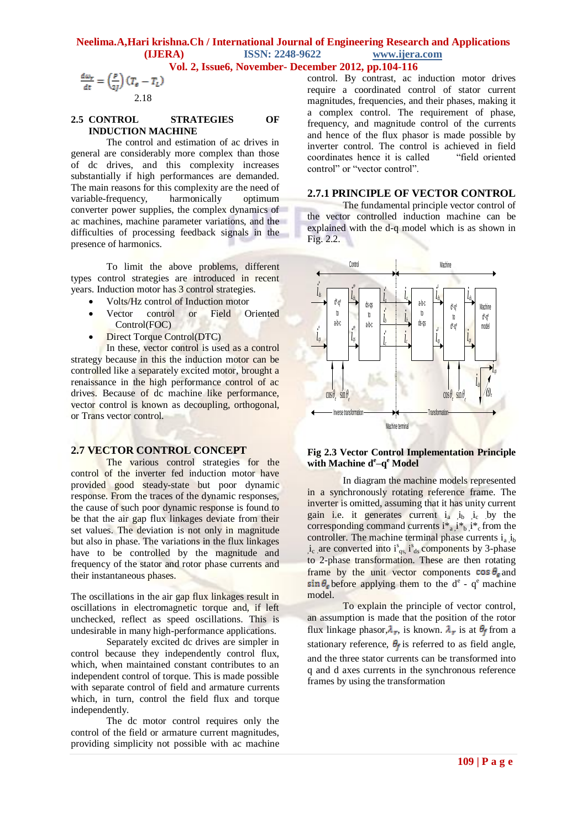**Vol. 2, Issue6, November- December 2012, pp.104-116**

$$
\frac{d\omega_r}{dt} = \left(\frac{p}{2J}\right)(T_e - T_L)
$$
  
2.18

#### **2.5 CONTROL STRATEGIES OF INDUCTION MACHINE**

The control and estimation of ac drives in general are considerably more complex than those of dc drives, and this complexity increases substantially if high performances are demanded. The main reasons for this complexity are the need of variable-frequency, harmonically optimum converter power supplies, the complex dynamics of ac machines, machine parameter variations, and the difficulties of processing feedback signals in the presence of harmonics.

To limit the above problems, different types control strategies are introduced in recent years. Induction motor has 3 control strategies.

- Volts/Hz control of Induction motor
- Vector control or Field Oriented Control(FOC)
- Direct Torque Control(DTC)

In these, vector control is used as a control strategy because in this the induction motor can be controlled like a separately excited motor, brought a renaissance in the high performance control of ac drives. Because of dc machine like performance, vector control is known as decoupling, orthogonal, or Trans vector control.

#### **2.7 VECTOR CONTROL CONCEPT**

The various control strategies for the control of the inverter fed induction motor have provided good steady-state but poor dynamic response. From the traces of the dynamic responses, the cause of such poor dynamic response is found to be that the air gap flux linkages deviate from their set values. The deviation is not only in magnitude but also in phase. The variations in the flux linkages have to be controlled by the magnitude and frequency of the stator and rotor phase currents and their instantaneous phases.

The oscillations in the air gap flux linkages result in oscillations in electromagnetic torque and, if left unchecked, reflect as speed oscillations. This is undesirable in many high-performance applications.

Separately excited dc drives are simpler in control because they independently control flux, which, when maintained constant contributes to an independent control of torque. This is made possible with separate control of field and armature currents which, in turn, control the field flux and torque independently.

The dc motor control requires only the control of the field or armature current magnitudes, providing simplicity not possible with ac machine control. By contrast, ac induction motor drives require a coordinated control of stator current magnitudes, frequencies, and their phases, making it a complex control. The requirement of phase, frequency, and magnitude control of the currents and hence of the flux phasor is made possible by inverter control. The control is achieved in field coordinates hence it is called "field oriented control" or "vector control".

#### **2.7.1 PRINCIPLE OF VECTOR CONTROL**

The fundamental principle vector control of the vector controlled induction machine can be explained with the d-q model which is as shown in Fig. 2.2.



#### **Fig 2.3 Vector Control Implementation Principle with Machine d<sup>e</sup> –q <sup>e</sup> Model**

In diagram the machine models represented in a synchronously rotating reference frame. The inverter is omitted, assuming that it has unity current gain i.e. it generates current  $i_a$   $i_b$   $i_c$  by the corresponding command currents  $i^*_{a}$ ,  $i^*_{b}$ ,  $i^*_{c}$  from the controller. The machine terminal phase currents  $i_a$ ,  $i_b$  $i_c$  are converted into  $i_{qs}^s$ ,  $i_{ds}^s$  components by 3-phase to 2-phase transformation. These are then rotating frame by the unit vector components  $\cos \theta_e$  and before applying them to the  $d^e$  -  $q^e$  machine model.

To explain the principle of vector control, an assumption is made that the position of the rotor flux linkage phasor, $\lambda_r$ , is known.  $\lambda_r$  is at  $\theta_f$  from a stationary reference,  $\theta_f$  is referred to as field angle, and the three stator currents can be transformed into q and d axes currents in the synchronous reference frames by using the transformation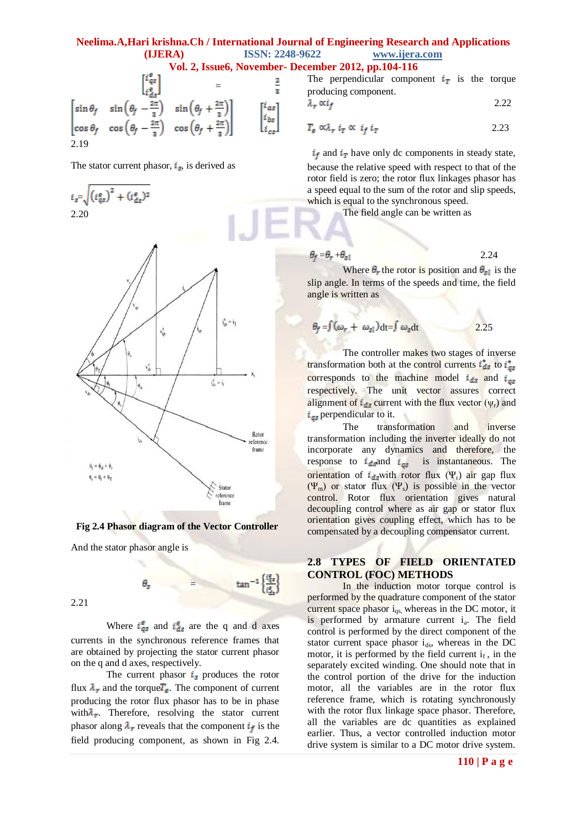**Vol. 2, Issue6, November- December 2012, pp.104-116**

 $\frac{2}{3}$ 

 $\left| i \right|_{bs}$ 

The perpendicular component  $i_T$  is the torque producing component.

$$
\lambda_r \propto i_f \tag{2.22}
$$

$$
T_e \propto \lambda_r \, i_T \propto \, i_f \, i_T \tag{2.23}
$$

 $i_f$  and  $i_T$  have only dc components in steady state,

because the relative speed with respect to that of the rotor field is zero; the rotor flux linkages phasor has a speed equal to the sum of the rotor and slip speeds, which is equal to the synchronous speed.

The field angle can be written as

 $\theta_f = \theta_r + \theta_{s1}$  2.24 Where  $\theta_r$  the rotor is position and  $\theta_{sl}$  is the slip angle. In terms of the speeds and time, the field

angle is written as

$$
\theta_f = \int (\omega_r + \omega_{sl}) dt = \int \omega_s dt
$$

The controller makes two stages of inverse transformation both at the control currents  $\vec{t}_{ds}$  to corresponds to the machine model  $i_{ds}$  and  $i_{gs}$ respectively. The unit vector assures correct alignment of  $i_{ds}$  current with the flux vector ( $\psi_r$ ) and  $i_{gs}$  perpendicular to it.

The transformation and inverse transformation including the inverter ideally do not incorporate any dynamics and therefore, the response to  $i_{ds}$  and  $i_{ds}$  is instantaneous. The orientation of  $i_{ds}$  with rotor flux (Ψ<sub>r</sub>) air gap flux  $(\Psi_{\rm m})$  or stator flux  $(\Psi_{\rm s})$  is possible in the vector control. Rotor flux orientation gives natural decoupling control where as air gap or stator flux orientation gives coupling effect, which has to be compensated by a decoupling compensator current.

## **2.8 TYPES OF FIELD ORIENTATED CONTROL (FOC) METHODS**

In the induction motor torque control is performed by the quadrature component of the stator current space phasor  $i_{qs}$ , whereas in the DC motor, it is performed by armature current i<sub>a</sub>. The field control is performed by the direct component of the stator current space phasor  $i_{ds}$ , whereas in the DC motor, it is performed by the field current  $i_f$ , in the separately excited winding. One should note that in the control portion of the drive for the induction motor, all the variables are in the rotor flux reference frame, which is rotating synchronously with the rotor flux linkage space phasor. Therefore, all the variables are dc quantities as explained earlier. Thus, a vector controlled induction motor drive system is similar to a DC motor drive system.



And the stator phasor angle is

 $\tan^{-1}\left\{\frac{i_{qs}^2}{i_{qs}^2}\right\}$  $\theta_s$  = Where  $i_{qs}^e$  and  $i_{ds}^e$  are the q and d axes

currents in the synchronous reference frames that are obtained by projecting the stator current phasor on the q and d axes, respectively.

The current phasor  $i_s$  produces the rotor flux  $\lambda_r$  and the torque $T_e$ . The component of current producing the rotor flux phasor has to be in phase with $\lambda_r$ . Therefore, resolving the stator current phasor along  $\lambda_r$  reveals that the component  $i_f$  is the field producing component, as shown in Fig 2.4.

 $i_s = \sqrt{\left(i_{qs}^e\right)^2 + \left(i_{ds}^e\right)^2}$ 2.20

2.19

 $\begin{bmatrix} \n\frac{1}{2} \left( \frac{qg}{\epsilon_{dS}} \right) & = \\
\sin \theta_f & \sin \left( \theta_f - \frac{2\pi}{3} \right) & \sin \left( \theta_f + \frac{2\pi}{3} \right) \\
\cos \theta_f & \cos \left( \theta_f - \frac{2\pi}{3} \right) & \cos \left( \theta_f + \frac{2\pi}{3} \right)\n\end{bmatrix}$ 

The stator current phasor,  $i_s$ , is derived as

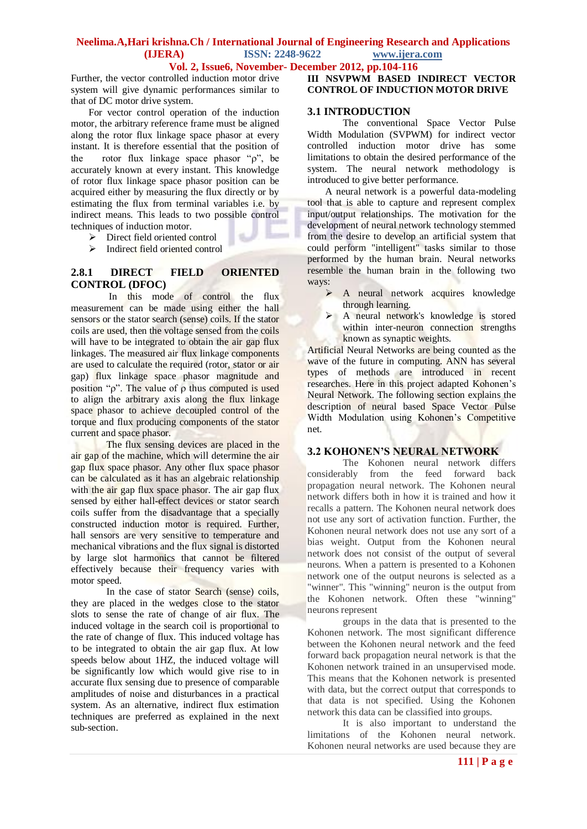## **Vol. 2, Issue6, November- December 2012, pp.104-116**

Further, the vector controlled induction motor drive system will give dynamic performances similar to that of DC motor drive system.

For vector control operation of the induction motor, the arbitrary reference frame must be aligned along the rotor flux linkage space phasor at every instant. It is therefore essential that the position of the rotor flux linkage space phasor " $\rho$ ", be accurately known at every instant. This knowledge of rotor flux linkage space phasor position can be acquired either by measuring the flux directly or by estimating the flux from terminal variables i.e. by indirect means. This leads to two possible control techniques of induction motor.  $\overline{a}$ 

 $\triangleright$  Direct field oriented control

> Indirect field oriented control

## **2.8.1 DIRECT FIELD ORIENTED CONTROL (DFOC)**

In this mode of control the flux measurement can be made using either the hall sensors or the stator search (sense) coils. If the stator coils are used, then the voltage sensed from the coils will have to be integrated to obtain the air gap flux linkages. The measured air flux linkage components are used to calculate the required (rotor, stator or air gap) flux linkage space phasor magnitude and position " $\rho$ ". The value of  $\rho$  thus computed is used to align the arbitrary axis along the flux linkage space phasor to achieve decoupled control of the torque and flux producing components of the stator current and space phasor.

The flux sensing devices are placed in the air gap of the machine, which will determine the air gap flux space phasor. Any other flux space phasor can be calculated as it has an algebraic relationship with the air gap flux space phasor. The air gap flux sensed by either hall-effect devices or stator search coils suffer from the disadvantage that a specially constructed induction motor is required. Further, hall sensors are very sensitive to temperature and mechanical vibrations and the flux signal is distorted by large slot harmonics that cannot be filtered effectively because their frequency varies with motor speed.

In the case of stator Search (sense) coils, they are placed in the wedges close to the stator slots to sense the rate of change of air flux. The induced voltage in the search coil is proportional to the rate of change of flux. This induced voltage has to be integrated to obtain the air gap flux. At low speeds below about 1HZ, the induced voltage will be significantly low which would give rise to in accurate flux sensing due to presence of comparable amplitudes of noise and disturbances in a practical system. As an alternative, indirect flux estimation techniques are preferred as explained in the next sub-section.

## **III NSVPWM BASED INDIRECT VECTOR CONTROL OF INDUCTION MOTOR DRIVE**

#### **3.1 INTRODUCTION**

The conventional Space Vector Pulse Width Modulation (SVPWM) for indirect vector controlled induction motor drive has some limitations to obtain the desired performance of the system. The neural network methodology is introduced to give better performance.

A neural network is a powerful data-modeling tool that is able to capture and represent complex input/output relationships. The motivation for the development of neural network technology stemmed from the desire to develop an artificial system that could perform "intelligent" tasks similar to those performed by the human brain. Neural networks resemble the human brain in the following two ways:

- $\triangleright$  A neural network acquires knowledge through learning.
- A neural network's knowledge is stored within inter-neuron connection strengths known as synaptic weights.

Artificial Neural Networks are being counted as the wave of the future in computing. ANN has several types of methods are introduced in recent researches. Here in this project adapted Kohonen's Neural Network. The following section explains the description of neural based Space Vector Pulse Width Modulation using Kohonen's Competitive net.

#### **3.2 KOHONEN'S NEURAL NETWORK**

The Kohonen neural network differs considerably from the feed forward back propagation neural network. The Kohonen neural network differs both in how it is trained and how it recalls a pattern. The Kohonen neural network does not use any sort of activation function. Further, the Kohonen neural network does not use any sort of a bias weight. Output from the Kohonen neural network does not consist of the output of several neurons. When a pattern is presented to a Kohonen network one of the output neurons is selected as a "winner". This "winning" neuron is the output from the Kohonen network. Often these "winning" neurons represent

groups in the data that is presented to the Kohonen network. The most significant difference between the Kohonen neural network and the feed forward back propagation neural network is that the Kohonen network trained in an unsupervised mode. This means that the Kohonen network is presented with data, but the correct output that corresponds to that data is not specified. Using the Kohonen network this data can be classified into groups.

It is also important to understand the limitations of the Kohonen neural network. Kohonen neural networks are used because they are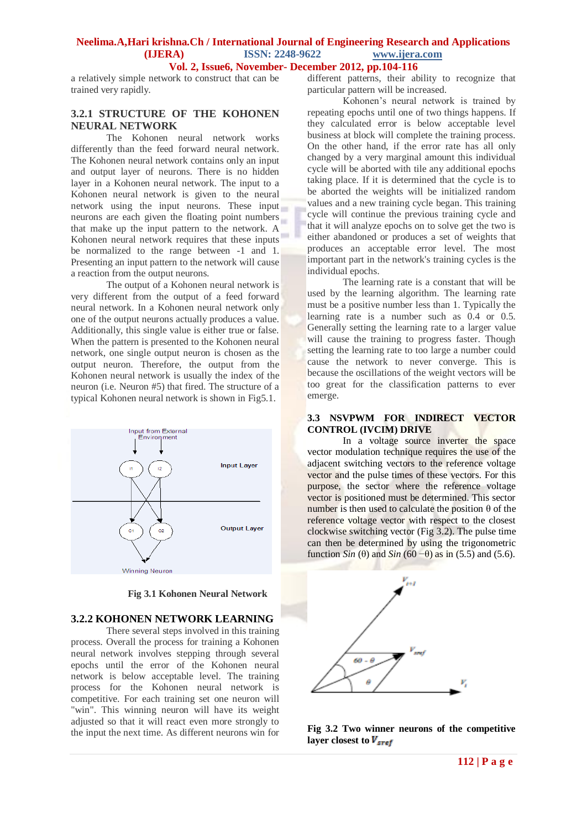**Vol. 2, Issue6, November- December 2012, pp.104-116**

a relatively simple network to construct that can be trained very rapidly.

## **3.2.1 STRUCTURE OF THE KOHONEN NEURAL NETWORK**

The Kohonen neural network works differently than the feed forward neural network. The Kohonen neural network contains only an input and output layer of neurons. There is no hidden layer in a Kohonen neural network. The input to a Kohonen neural network is given to the neural network using the input neurons. These input neurons are each given the floating point numbers that make up the input pattern to the network. A Kohonen neural network requires that these inputs be normalized to the range between -1 and 1. Presenting an input pattern to the network will cause a reaction from the output neurons.

The output of a Kohonen neural network is very different from the output of a feed forward neural network. In a Kohonen neural network only one of the output neurons actually produces a value. Additionally, this single value is either true or false. When the pattern is presented to the Kohonen neural network, one single output neuron is chosen as the output neuron. Therefore, the output from the Kohonen neural network is usually the index of the neuron (i.e. Neuron #5) that fired. The structure of a typical Kohonen neural network is shown in Fig5.1.



 **Fig 3.1 Kohonen Neural Network**

## **3.2.2 KOHONEN NETWORK LEARNING**

There several steps involved in this training process. Overall the process for training a Kohonen neural network involves stepping through several epochs until the error of the Kohonen neural network is below acceptable level. The training process for the Kohonen neural network is competitive. For each training set one neuron will "win". This winning neuron will have its weight adjusted so that it will react even more strongly to the input the next time. As different neurons win for

different patterns, their ability to recognize that particular pattern will be increased.

Kohonen's neural network is trained by repeating epochs until one of two things happens. If they calculated error is below acceptable level business at block will complete the training process. On the other hand, if the error rate has all only changed by a very marginal amount this individual cycle will be aborted with tile any additional epochs taking place. If it is determined that the cycle is to be aborted the weights will be initialized random values and a new training cycle began. This training cycle will continue the previous training cycle and that it will analyze epochs on to solve get the two is either abandoned or produces a set of weights that produces an acceptable error level. The most important part in the network's training cycles is the individual epochs.

The learning rate is a constant that will be used by the learning algorithm. The learning rate must be a positive number less than 1. Typically the learning rate is a number such as 0.4 or 0.5. Generally setting the learning rate to a larger value will cause the training to progress faster. Though setting the learning rate to too large a number could cause the network to never converge. This is because the oscillations of the weight vectors will be too great for the classification patterns to ever emerge.

## **3.3 NSVPWM FOR INDIRECT VECTOR CONTROL (IVCIM) DRIVE**

In a voltage source inverter the space vector modulation technique requires the use of the adjacent switching vectors to the reference voltage vector and the pulse times of these vectors. For this purpose, the sector where the reference voltage vector is positioned must be determined. This sector number is then used to calculate the position  $\theta$  of the reference voltage vector with respect to the closest clockwise switching vector (Fig 3.2). The pulse time can then be determined by using the trigonometric function *Sin* ( $\theta$ ) and *Sin* ( $60 - \theta$ ) as in (5.5) and (5.6).



**Fig 3.2 Two winner neurons of the competitive**  layer closest to  $V_{\text{sref}}$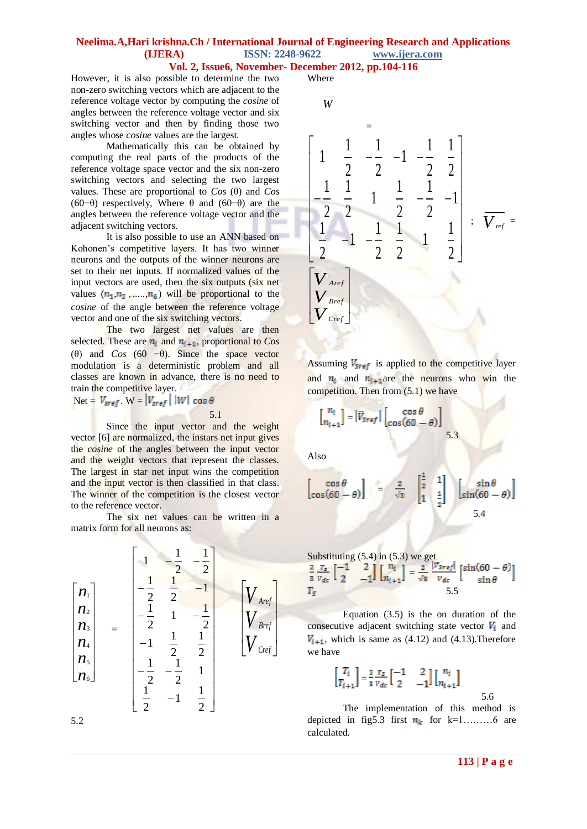#### **Vol. 2, Issue6, November- December 2012, pp.104-116**

However, it is also possible to determine the two non-zero switching vectors which are adjacent to the reference voltage vector by computing the *cosine* of angles between the reference voltage vector and six switching vector and then by finding those two angles whose *cosine* values are the largest.

Mathematically this can be obtained by computing the real parts of the products of the reference voltage space vector and the six non-zero switching vectors and selecting the two largest values. These are proportional to  $Cos(\theta)$  and  $Cos$ (60−θ) respectively, Where θ and (60−θ) are the angles between the reference voltage vector and the adjacent switching vectors.

It is also possible to use an ANN based on Kohonen's competitive layers. It has two winner neurons and the outputs of the winner neurons are set to their net inputs. If normalized values of the input vectors are used, then the six outputs (six net values  $(n_1, n_2, \ldots, n_6)$  will be proportional to the *cosine* of the angle between the reference voltage vector and one of the six switching vectors.

The two largest net values are then selected. These are  $n_i$  and  $n_{i+1}$ , proportional to *Cos* (θ) and  $Cos (60 - \theta)$ . Since the space vector modulation is a deterministic problem and all classes are known in advance, there is no need to train the competitive layer.

Net =  $V_{\text{sref}}$ . W =  $|V_{\text{sref}}|$  | W | cos  $\theta$ 

5.1

Since the input vector and the weight vector [6] are normalized, the instars net input gives the *cosine* of the angles between the input vector and the weight vectors that represent the classes. The largest in star net input wins the competition and the input vector is then classified in that class. The winner of the competition is the closest vector to the reference vector.

The six net values can be written in a matrix form for all neurons as:

$$
\begin{bmatrix}\nn_1 \\
n_2 \\
n_3 \\
n_4 \\
n_5 \\
n_6\n\end{bmatrix} = \begin{bmatrix}\n1 & -\frac{1}{2} & -\frac{1}{2} \\
-\frac{1}{2} & \frac{1}{2} & -1 \\
-\frac{1}{2} & 1 & -\frac{1}{2} \\
-\frac{1}{2} & \frac{1}{2} & \frac{1}{2} \\
-\frac{1}{2} & -\frac{1}{2} & 1 \\
\frac{1}{2} & -1 & \frac{1}{2}\n\end{bmatrix} \begin{bmatrix}\nV_{\text{Aref}} \\
V_{\text{Bref}} \\
V_{\text{Cref}}\n\end{bmatrix}
$$

5.2

*W*

Where



Assuming  $V_{\text{Sref}}$  is applied to the competitive layer and  $n_i$  and  $n_{i+1}$  are the neurons who win the competition. Then from  $(5.1)$  we have

$$
\begin{bmatrix} n_i \\ n_{i+1} \end{bmatrix} = |\overline{V}_{sref}| \begin{bmatrix} \cos \theta \\ \cos(60 - \theta) \end{bmatrix}
$$

Also

$$
\begin{bmatrix}\n\cos \theta \\
\cos(60 - \theta)\n\end{bmatrix} = \frac{2}{\sqrt{3}} \begin{bmatrix} \frac{1}{2} & 1 \\ 1 & \frac{1}{2} \end{bmatrix} \begin{bmatrix} \sin \theta \\
\sin(60 - \theta) \end{bmatrix}
$$
\n5.4

5.3

Substituting (5.4) in (5.3) we get  
\n
$$
\frac{2}{3} \frac{r_s}{v_{dc}} \begin{bmatrix} -1 & 2 \ 2 & -1 \end{bmatrix} \begin{bmatrix} n_i \\ n_{i+1} \end{bmatrix} = \frac{2}{\sqrt{3}} \frac{|v_{sref}|}{v_{dc}} \begin{bmatrix} \sin(60 - \theta) \\ \sin \theta \end{bmatrix}
$$
\n
$$
T_5
$$

Equation (3.5) is the on duration of the consecutive adjacent switching state vector  $V_i$  and  $V_{i+1}$ , which is same as (4.12) and (4.13). Therefore we have

$$
\begin{bmatrix} T_i \\ T_{i+1} \end{bmatrix} = \frac{2}{3} \frac{T_S}{v_{dc}} \begin{bmatrix} -1 & 2 \\ 2 & -1 \end{bmatrix} \begin{bmatrix} n_i \\ n_{i+1} \end{bmatrix}
$$

The implementation of this method is depicted in fig5.3 first  $n_k$  for k=1………6 are calculated.

5.6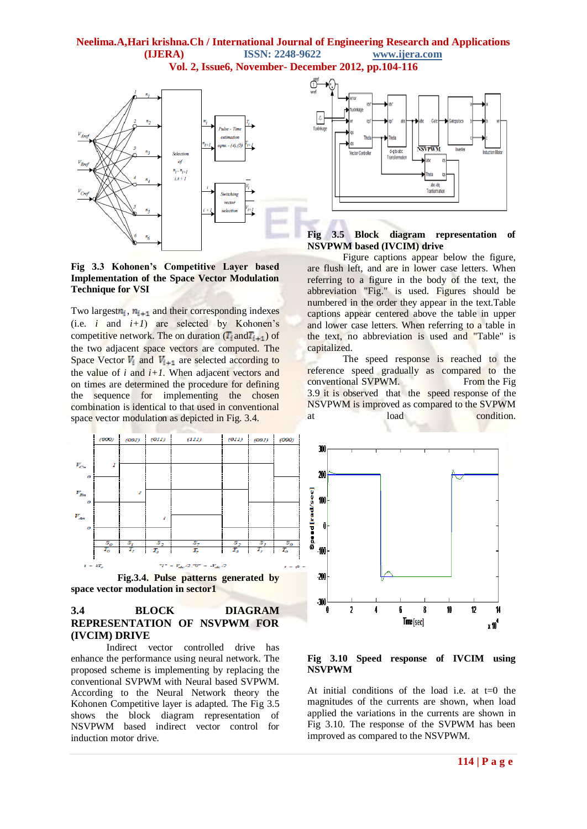#### **Neelima.A,Hari krishna.Ch / International Journal of Engineering Research and Applications (IJERA) ISSN: 2248-9622 www.ijera.com Vol. 2, Issue6, November- December 2012, pp.104-116**



#### **Fig 3.3 Kohonen's Competitive Layer based Implementation of the Space Vector Modulation Technique for VSI**

Two largest $n_i$ ,  $n_{i+1}$  and their corresponding indexes (i.e.  $i$  and  $i+1$ ) are selected by Kohonen's competitive network. The on duration  $(T_i$  and  $T_{i+1}$ ) of the two adjacent space vectors are computed. The Space Vector  $V_i$  and  $V_{i+1}$  are selected according to the value of  $i$  and  $i+1$ . When adjacent vectors and on times are determined the procedure for defining the sequence for implementing the chosen combination is identical to that used in conventional space vector modulation as depicted in Fig. 3.4.



 **Fig.3.4. Pulse patterns generated by space vector modulation in sector1**

## **3.4 BLOCK DIAGRAM REPRESENTATION OF NSVPWM FOR (IVCIM) DRIVE**

Indirect vector controlled drive has enhance the performance using neural network. The proposed scheme is implementing by replacing the conventional SVPWM with Neural based SVPWM. According to the Neural Network theory the Kohonen Competitive layer is adapted. The Fig 3.5 shows the block diagram representation of NSVPWM based indirect vector control for induction motor drive.



#### **Fig 3.5 Block diagram representation of NSVPWM based (IVCIM) drive**

Figure captions appear below the figure, are flush left, and are in lower case letters. When referring to a figure in the body of the text, the abbreviation "Fig." is used. Figures should be numbered in the order they appear in the text.Table captions appear centered above the table in upper and lower case letters. When referring to a table in the text, no abbreviation is used and "Table" is capitalized.

The speed response is reached to the reference speed gradually as compared to the conventional SVPWM. From the Fig. 3.9 it is observed that the speed response of the NSVPWM is improved as compared to the SVPWM at load condition.



#### **Fig 3.10 Speed response of IVCIM using NSVPWM**

At initial conditions of the load i.e. at t=0 the magnitudes of the currents are shown, when load applied the variations in the currents are shown in Fig 3.10. The response of the SVPWM has been improved as compared to the NSVPWM.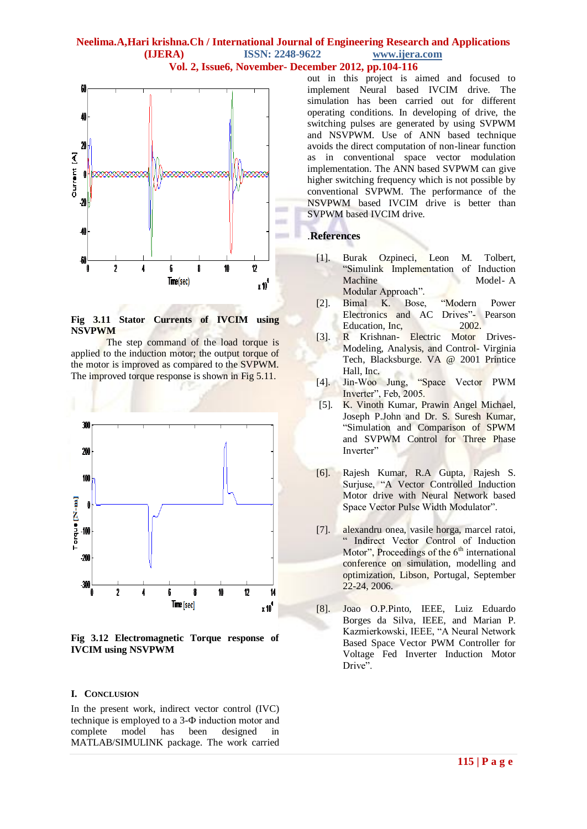#### **Neelima.A,Hari krishna.Ch / International Journal of Engineering Research and Applications (IJERA) ISSN: 2248-9622 www.ijera.com Vol. 2, Issue6, November- December 2012, pp.104-116**



**Fig 3.11 Stator Currents of IVCIM using NSVPWM** 

The step command of the load torque is applied to the induction motor; the output torque of the motor is improved as compared to the SVPWM. The improved torque response is shown in Fig 5.11.



**Fig 3.12 Electromagnetic Torque response of IVCIM using NSVPWM** 

#### **I. CONCLUSION**

In the present work, indirect vector control (IVC) technique is employed to a 3-Ф induction motor and complete model has been designed in MATLAB/SIMULINK package. The work carried out in this project is aimed and focused to implement Neural based IVCIM drive. The simulation has been carried out for different operating conditions. In developing of drive, the switching pulses are generated by using SVPWM and NSVPWM. Use of ANN based technique avoids the direct computation of non-linear function as in conventional space vector modulation implementation. The ANN based SVPWM can give higher switching frequency which is not possible by conventional SVPWM. The performance of the NSVPWM based IVCIM drive is better than SVPWM based IVCIM drive.

#### .**References**

- [1]. Burak Ozpineci, Leon M. Tolbert, "Simulink Implementation of Induction Machine Model- A Modular Approach".
- [2]. Bimal K. Bose, "Modern Power Electronics and AC Drives"- Pearson Education, Inc, 2002.
- [3]. R Krishnan- Electric Motor Drives-Modeling, Analysis, and Control- Virginia Tech, Blacksburge. VA @ 2001 Printice Hall, Inc.
- [4]. Jin-Woo Jung, "Space Vector PWM Inverter", Feb, 2005.
- [5]. K. Vinoth Kumar, Prawin Angel Michael, Joseph P.John and Dr. S. Suresh Kumar, "Simulation and Comparison of SPWM and SVPWM Control for Three Phase Inverter"
- [6]. Rajesh Kumar, R.A Gupta, Rajesh S. Surjuse, "A Vector Controlled Induction Motor drive with Neural Network based Space Vector Pulse Width Modulator".
- [7]. alexandru onea, vasile horga, marcel ratoi, " Indirect Vector Control of Induction Motor", Proceedings of the  $6<sup>th</sup>$  international conference on simulation, modelling and optimization, Libson, Portugal, September 22-24, 2006.
- [8]. Joao O.P.Pinto, IEEE, Luiz Eduardo Borges da Silva, IEEE, and Marian P. Kazmierkowski, IEEE, "A Neural Network Based Space Vector PWM Controller for Voltage Fed Inverter Induction Motor Drive".